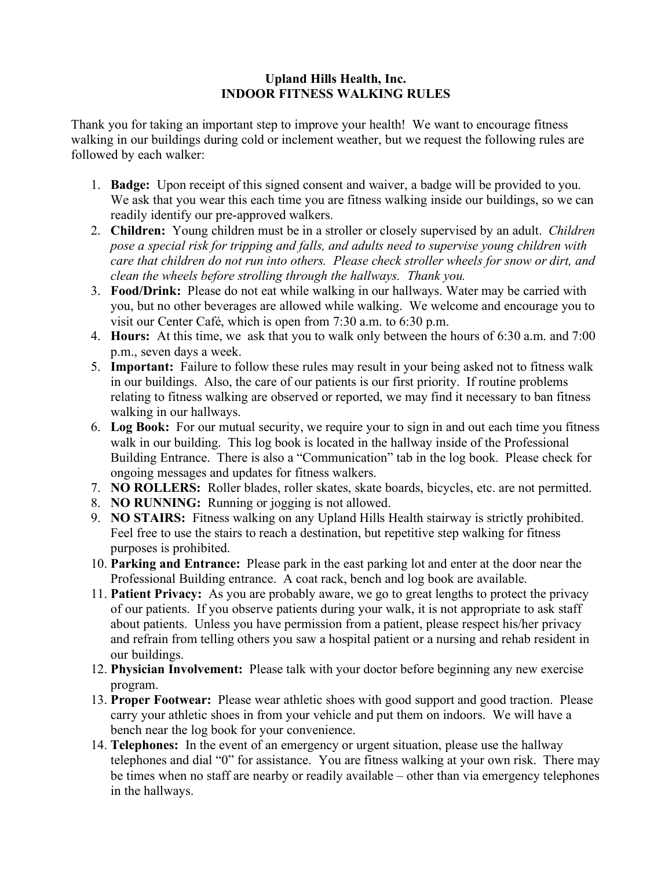## **Upland Hills Health, Inc. INDOOR FITNESS WALKING RULES**

Thank you for taking an important step to improve your health! We want to encourage fitness walking in our buildings during cold or inclement weather, but we request the following rules are followed by each walker:

- 1. **Badge:** Upon receipt of this signed consent and waiver, a badge will be provided to you. We ask that you wear this each time you are fitness walking inside our buildings, so we can readily identify our pre-approved walkers.
- 2. **Children:** Young children must be in a stroller or closely supervised by an adult. *Children pose a special risk for tripping and falls, and adults need to supervise young children with care that children do not run into others. Please check stroller wheels for snow or dirt, and clean the wheels before strolling through the hallways. Thank you.*
- 3. **Food/Drink:** Please do not eat while walking in our hallways. Water may be carried with you, but no other beverages are allowed while walking. We welcome and encourage you to visit our Center Café, which is open from 7:30 a.m. to 6:30 p.m.
- 4. **Hours:** At this time, we ask that you to walk only between the hours of 6:30 a.m. and 7:00 p.m., seven days a week.
- 5. **Important:** Failure to follow these rules may result in your being asked not to fitness walk in our buildings. Also, the care of our patients is our first priority. If routine problems relating to fitness walking are observed or reported, we may find it necessary to ban fitness walking in our hallways.
- 6. **Log Book:** For our mutual security, we require your to sign in and out each time you fitness walk in our building. This log book is located in the hallway inside of the Professional Building Entrance. There is also a "Communication" tab in the log book. Please check for ongoing messages and updates for fitness walkers.
- 7. **NO ROLLERS:** Roller blades, roller skates, skate boards, bicycles, etc. are not permitted.
- 8. **NO RUNNING:** Running or jogging is not allowed.
- 9. **NO STAIRS:** Fitness walking on any Upland Hills Health stairway is strictly prohibited. Feel free to use the stairs to reach a destination, but repetitive step walking for fitness purposes is prohibited.
- 10. **Parking and Entrance:** Please park in the east parking lot and enter at the door near the Professional Building entrance. A coat rack, bench and log book are available.
- 11. **Patient Privacy:** As you are probably aware, we go to great lengths to protect the privacy of our patients. If you observe patients during your walk, it is not appropriate to ask staff about patients. Unless you have permission from a patient, please respect his/her privacy and refrain from telling others you saw a hospital patient or a nursing and rehab resident in our buildings.
- 12. **Physician Involvement:** Please talk with your doctor before beginning any new exercise program.
- 13. **Proper Footwear:** Please wear athletic shoes with good support and good traction. Please carry your athletic shoes in from your vehicle and put them on indoors. We will have a bench near the log book for your convenience.
- 14. **Telephones:** In the event of an emergency or urgent situation, please use the hallway telephones and dial "0" for assistance. You are fitness walking at your own risk. There may be times when no staff are nearby or readily available – other than via emergency telephones in the hallways.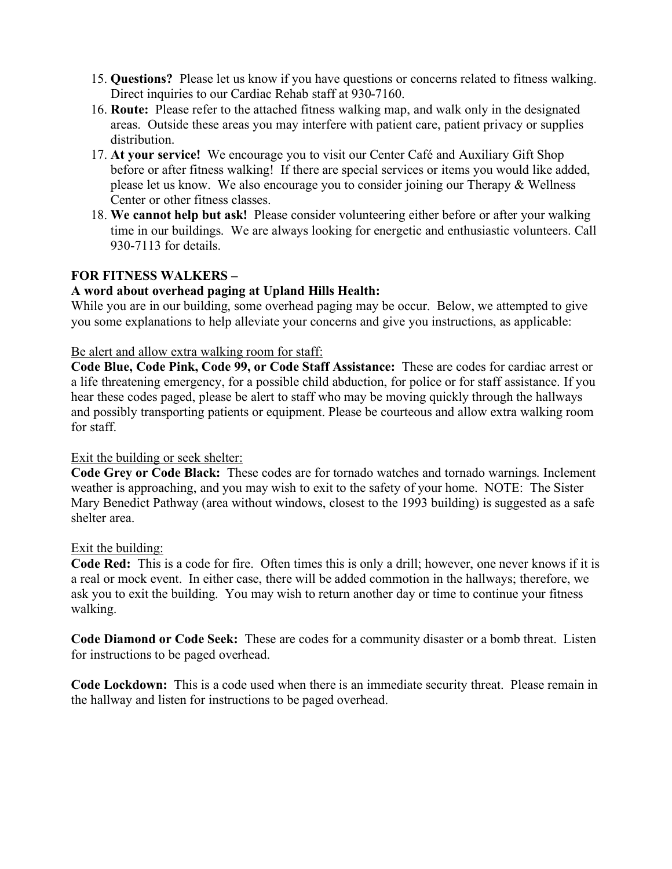- 15. **Questions?** Please let us know if you have questions or concerns related to fitness walking. Direct inquiries to our Cardiac Rehab staff at 930-7160.
- 16. **Route:** Please refer to the attached fitness walking map, and walk only in the designated areas. Outside these areas you may interfere with patient care, patient privacy or supplies distribution.
- 17. **At your service!** We encourage you to visit our Center Café and Auxiliary Gift Shop before or after fitness walking! If there are special services or items you would like added, please let us know. We also encourage you to consider joining our Therapy & Wellness Center or other fitness classes.
- 18. **We cannot help but ask!** Please consider volunteering either before or after your walking time in our buildings. We are always looking for energetic and enthusiastic volunteers. Call 930-7113 for details.

## **FOR FITNESS WALKERS –**

### **A word about overhead paging at Upland Hills Health:**

While you are in our building, some overhead paging may be occur. Below, we attempted to give you some explanations to help alleviate your concerns and give you instructions, as applicable:

#### Be alert and allow extra walking room for staff:

**Code Blue, Code Pink, Code 99, or Code Staff Assistance:** These are codes for cardiac arrest or a life threatening emergency, for a possible child abduction, for police or for staff assistance. If you hear these codes paged, please be alert to staff who may be moving quickly through the hallways and possibly transporting patients or equipment. Please be courteous and allow extra walking room for staff.

### Exit the building or seek shelter:

**Code Grey or Code Black:** These codes are for tornado watches and tornado warnings. Inclement weather is approaching, and you may wish to exit to the safety of your home. NOTE: The Sister Mary Benedict Pathway (area without windows, closest to the 1993 building) is suggested as a safe shelter area.

### Exit the building:

**Code Red:** This is a code for fire. Often times this is only a drill; however, one never knows if it is a real or mock event. In either case, there will be added commotion in the hallways; therefore, we ask you to exit the building. You may wish to return another day or time to continue your fitness walking.

**Code Diamond or Code Seek:** These are codes for a community disaster or a bomb threat. Listen for instructions to be paged overhead.

**Code Lockdown:** This is a code used when there is an immediate security threat. Please remain in the hallway and listen for instructions to be paged overhead.